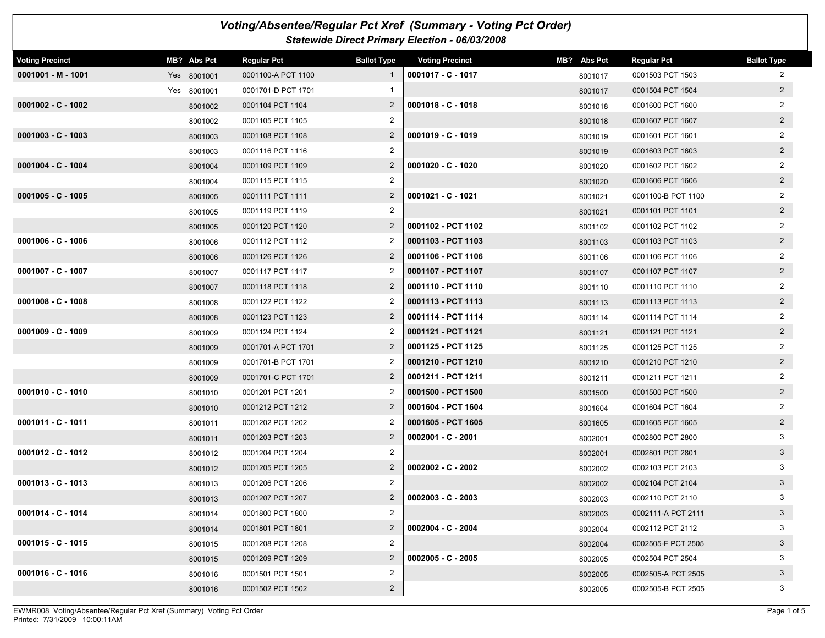| Voting/Absentee/Regular Pct Xref (Summary - Voting Pct Order)<br>Statewide Direct Primary Election - 06/03/2008 |             |                    |                    |                        |             |                    |                    |  |  |
|-----------------------------------------------------------------------------------------------------------------|-------------|--------------------|--------------------|------------------------|-------------|--------------------|--------------------|--|--|
| <b>Voting Precinct</b>                                                                                          | MB? Abs Pct | <b>Regular Pct</b> | <b>Ballot Type</b> | <b>Voting Precinct</b> | MB? Abs Pct | <b>Regular Pct</b> | <b>Ballot Type</b> |  |  |
| $0001001 - M - 1001$                                                                                            | Yes 8001001 | 0001100-A PCT 1100 |                    | 0001017 - C - 1017     | 8001017     | 0001503 PCT 1503   | 2                  |  |  |
|                                                                                                                 | Yes 8001001 | 0001701-D PCT 1701 |                    |                        | 8001017     | 0001504 PCT 1504   | $\overline{2}$     |  |  |
| $0001002 - C - 1002$                                                                                            | 8001002     | 0001104 PCT 1104   | $\overline{2}$     | $0001018 - C - 1018$   | 8001018     | 0001600 PCT 1600   | 2                  |  |  |
|                                                                                                                 | 8001002     | 0001105 PCT 1105   | $\overline{2}$     |                        | 8001018     | 0001607 PCT 1607   | $2^{\circ}$        |  |  |
| $0001003 - C - 1003$                                                                                            | 8001003     | 0001108 PCT 1108   | $\mathbf{2}$       | $0001019 - C - 1019$   | 8001019     | 0001601 PCT 1601   | $\overline{2}$     |  |  |
|                                                                                                                 | 8001003     | 0001116 PCT 1116   | 2                  |                        | 8001019     | 0001603 PCT 1603   | $2^{\circ}$        |  |  |
| $0001004 - C - 1004$                                                                                            | 8001004     | 0001109 PCT 1109   | $\overline{2}$     | $0001020 - C - 1020$   | 8001020     | 0001602 PCT 1602   | 2                  |  |  |
|                                                                                                                 | 8001004     | 0001115 PCT 1115   | 2                  |                        | 8001020     | 0001606 PCT 1606   | $2^{\circ}$        |  |  |
| $0001005 - C - 1005$                                                                                            | 8001005     | 0001111 PCT 1111   | $\overline{2}$     | 0001021 - C - 1021     | 8001021     | 0001100-B PCT 1100 | 2                  |  |  |
|                                                                                                                 | 8001005     | 0001119 PCT 1119   | $\overline{2}$     |                        | 8001021     | 0001101 PCT 1101   | $\overline{2}$     |  |  |
|                                                                                                                 | 8001005     | 0001120 PCT 1120   | $\overline{2}$     | 0001102 - PCT 1102     | 8001102     | 0001102 PCT 1102   | 2                  |  |  |
| $0001006 - C - 1006$                                                                                            | 8001006     | 0001112 PCT 1112   | 2                  | 0001103 - PCT 1103     | 8001103     | 0001103 PCT 1103   | $2^{\circ}$        |  |  |
|                                                                                                                 | 8001006     | 0001126 PCT 1126   | $\overline{2}$     | 0001106 - PCT 1106     | 8001106     | 0001106 PCT 1106   | 2                  |  |  |
| 0001007 - C - 1007                                                                                              | 8001007     | 0001117 PCT 1117   | 2                  | 0001107 - PCT 1107     | 8001107     | 0001107 PCT 1107   | $2^{\circ}$        |  |  |
|                                                                                                                 | 8001007     | 0001118 PCT 1118   | $\overline{2}$     | 0001110 - PCT 1110     | 8001110     | 0001110 PCT 1110   | $\overline{2}$     |  |  |
| $0001008 - C - 1008$                                                                                            | 8001008     | 0001122 PCT 1122   |                    | 0001113 - PCT 1113     | 8001113     | 0001113 PCT 1113   | $2^{\circ}$        |  |  |
|                                                                                                                 | 8001008     | 0001123 PCT 1123   | $\overline{2}$     | 0001114 - PCT 1114     | 8001114     | 0001114 PCT 1114   | 2                  |  |  |
| $0001009 - C - 1009$                                                                                            | 8001009     | 0001124 PCT 1124   |                    | 0001121 - PCT 1121     | 8001121     | 0001121 PCT 1121   | $2^{\circ}$        |  |  |
|                                                                                                                 | 8001009     | 0001701-A PCT 1701 | $\overline{2}$     | 0001125 - PCT 1125     | 8001125     | 0001125 PCT 1125   | 2                  |  |  |
|                                                                                                                 | 8001009     | 0001701-B PCT 1701 |                    | 0001210 - PCT 1210     | 8001210     | 0001210 PCT 1210   | $2^{\circ}$        |  |  |
|                                                                                                                 | 8001009     | 0001701-C PCT 1701 | 2                  | 0001211 - PCT 1211     | 8001211     | 0001211 PCT 1211   | $\overline{2}$     |  |  |
| $0001010 - C - 1010$                                                                                            | 8001010     | 0001201 PCT 1201   | 2                  | 0001500 - PCT 1500     | 8001500     | 0001500 PCT 1500   | $2\overline{ }$    |  |  |
|                                                                                                                 | 8001010     | 0001212 PCT 1212   | $\overline{2}$     | 0001604 - PCT 1604     | 8001604     | 0001604 PCT 1604   | 2                  |  |  |
| $0001011 - C - 1011$                                                                                            | 8001011     | 0001202 PCT 1202   | 2                  | 0001605 - PCT 1605     | 8001605     | 0001605 PCT 1605   | $2^{\circ}$        |  |  |
|                                                                                                                 | 8001011     | 0001203 PCT 1203   | $\overline{2}$     | 0002001 - C - 2001     | 8002001     | 0002800 PCT 2800   | 3                  |  |  |
| $0001012 - C - 1012$                                                                                            | 8001012     | 0001204 PCT 1204   | 2                  |                        | 8002001     | 0002801 PCT 2801   | 3 <sup>1</sup>     |  |  |
|                                                                                                                 | 8001012     | 0001205 PCT 1205   | $\overline{2}$     | $0002002 - C - 2002$   | 8002002     | 0002103 PCT 2103   | 3                  |  |  |
| $0001013 - C - 1013$                                                                                            | 8001013     | 0001206 PCT 1206   | 2                  |                        | 8002002     | 0002104 PCT 2104   | 3                  |  |  |
|                                                                                                                 | 8001013     | 0001207 PCT 1207   | $\overline{2}$     | $0002003 - C - 2003$   | 8002003     | 0002110 PCT 2110   | 3                  |  |  |
| $0001014 - C - 1014$                                                                                            | 8001014     | 0001800 PCT 1800   | $\overline{2}$     |                        | 8002003     | 0002111-A PCT 2111 | 3 <sup>1</sup>     |  |  |
|                                                                                                                 | 8001014     | 0001801 PCT 1801   | $\overline{2}$     | $0002004 - C - 2004$   | 8002004     | 0002112 PCT 2112   | 3                  |  |  |
| $0001015 - C - 1015$                                                                                            | 8001015     | 0001208 PCT 1208   | $\overline{2}$     |                        | 8002004     | 0002505-F PCT 2505 | 3 <sup>2</sup>     |  |  |
|                                                                                                                 | 8001015     | 0001209 PCT 1209   | $\overline{2}$     | $0002005 - C - 2005$   | 8002005     | 0002504 PCT 2504   | 3                  |  |  |
| $0001016 - C - 1016$                                                                                            | 8001016     | 0001501 PCT 1501   | $\overline{2}$     |                        | 8002005     | 0002505-A PCT 2505 | 3 <sup>1</sup>     |  |  |
|                                                                                                                 | 8001016     | 0001502 PCT 1502   | $\overline{a}$     |                        | 8002005     | 0002505-B PCT 2505 | 3                  |  |  |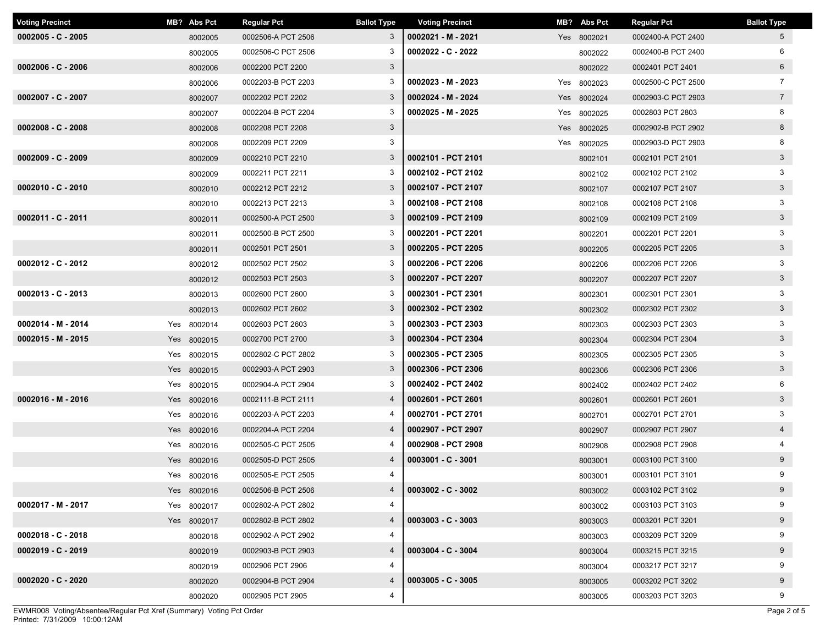| <b>Voting Precinct</b> | MB? Abs Pct |             | <b>Regular Pct</b> | <b>Ballot Type</b> | <b>Voting Precinct</b> | MB? Abs Pct | <b>Regular Pct</b> | <b>Ballot Type</b> |
|------------------------|-------------|-------------|--------------------|--------------------|------------------------|-------------|--------------------|--------------------|
| $0002005 - C - 2005$   |             | 8002005     | 0002506-A PCT 2506 | 3                  | 0002021 - M - 2021     | Yes 8002021 | 0002400-A PCT 2400 | 5 <sup>5</sup>     |
|                        |             | 8002005     | 0002506-C PCT 2506 | 3                  | $0002022 - C - 2022$   | 8002022     | 0002400-B PCT 2400 | 6                  |
| $0002006 - C - 2006$   |             | 8002006     | 0002200 PCT 2200   | $\mathbf{3}$       |                        | 8002022     | 0002401 PCT 2401   | $6\overline{6}$    |
|                        |             | 8002006     | 0002203-B PCT 2203 | 3                  | $0002023 - M - 2023$   | Yes 8002023 | 0002500-C PCT 2500 | $\overline{7}$     |
| $0002007 - C - 2007$   |             | 8002007     | 0002202 PCT 2202   | 3                  | 0002024 - M - 2024     | Yes 8002024 | 0002903-C PCT 2903 | $7^{\circ}$        |
|                        |             | 8002007     | 0002204-B PCT 2204 | 3                  | 0002025 - M - 2025     | Yes 8002025 | 0002803 PCT 2803   | 8                  |
| $0002008 - C - 2008$   |             | 8002008     | 0002208 PCT 2208   | $\mathbf{3}$       |                        | Yes 8002025 | 0002902-B PCT 2902 | 8                  |
|                        |             | 8002008     | 0002209 PCT 2209   | 3                  |                        | Yes 8002025 | 0002903-D PCT 2903 | 8                  |
| $0002009 - C - 2009$   |             | 8002009     | 0002210 PCT 2210   | 3                  | 0002101 - PCT 2101     | 8002101     | 0002101 PCT 2101   | $\mathbf{3}$       |
|                        |             | 8002009     | 0002211 PCT 2211   | 3                  | 0002102 - PCT 2102     | 8002102     | 0002102 PCT 2102   | 3                  |
| $0002010 - C - 2010$   |             | 8002010     | 0002212 PCT 2212   | 3                  | 0002107 - PCT 2107     | 8002107     | 0002107 PCT 2107   | 3 <sup>1</sup>     |
|                        |             | 8002010     | 0002213 PCT 2213   | 3                  | 0002108 - PCT 2108     | 8002108     | 0002108 PCT 2108   | 3                  |
| 0002011 - C - 2011     |             | 8002011     | 0002500-A PCT 2500 | 3                  | 0002109 - PCT 2109     | 8002109     | 0002109 PCT 2109   | 3 <sup>1</sup>     |
|                        |             | 8002011     | 0002500-B PCT 2500 | 3                  | 0002201 - PCT 2201     | 8002201     | 0002201 PCT 2201   | 3                  |
|                        |             | 8002011     | 0002501 PCT 2501   | 3                  | 0002205 - PCT 2205     | 8002205     | 0002205 PCT 2205   | $\mathbf{3}$       |
| $0002012 - C - 2012$   |             | 8002012     | 0002502 PCT 2502   | 3                  | 0002206 - PCT 2206     | 8002206     | 0002206 PCT 2206   | 3                  |
|                        |             | 8002012     | 0002503 PCT 2503   | $\mathbf{3}$       | 0002207 - PCT 2207     | 8002207     | 0002207 PCT 2207   | 3 <sup>1</sup>     |
| $0002013 - C - 2013$   |             | 8002013     | 0002600 PCT 2600   | 3                  | 0002301 - PCT 2301     | 8002301     | 0002301 PCT 2301   | 3                  |
|                        |             | 8002013     | 0002602 PCT 2602   | 3                  | 0002302 - PCT 2302     | 8002302     | 0002302 PCT 2302   | $\mathbf{3}$       |
| 0002014 - M - 2014     |             | Yes 8002014 | 0002603 PCT 2603   | 3                  | 0002303 - PCT 2303     | 8002303     | 0002303 PCT 2303   | 3                  |
| $0002015 - M - 2015$   |             | Yes 8002015 | 0002700 PCT 2700   | 3                  | 0002304 - PCT 2304     | 8002304     | 0002304 PCT 2304   | 3 <sup>1</sup>     |
|                        |             | Yes 8002015 | 0002802-C PCT 2802 | 3                  | 0002305 - PCT 2305     | 8002305     | 0002305 PCT 2305   | 3                  |
|                        |             | Yes 8002015 | 0002903-A PCT 2903 | 3                  | 0002306 - PCT 2306     | 8002306     | 0002306 PCT 2306   | 3 <sup>1</sup>     |
|                        |             | Yes 8002015 | 0002904-A PCT 2904 | 3                  | 0002402 - PCT 2402     | 8002402     | 0002402 PCT 2402   | 6                  |
| 0002016 - M - 2016     |             | Yes 8002016 | 0002111-B PCT 2111 | 4                  | 0002601 - PCT 2601     | 8002601     | 0002601 PCT 2601   | 3 <sup>1</sup>     |
|                        |             | Yes 8002016 | 0002203-A PCT 2203 |                    | 0002701 - PCT 2701     | 8002701     | 0002701 PCT 2701   | 3                  |
|                        |             | Yes 8002016 | 0002204-A PCT 2204 | $\overline{4}$     | 0002907 - PCT 2907     | 8002907     | 0002907 PCT 2907   | $\overline{4}$     |
|                        |             | Yes 8002016 | 0002505-C PCT 2505 |                    | 0002908 - PCT 2908     | 8002908     | 0002908 PCT 2908   | 4                  |
|                        |             | Yes 8002016 | 0002505-D PCT 2505 | 4                  | $0003001 - C - 3001$   | 8003001     | 0003100 PCT 3100   | 9                  |
|                        |             | Yes 8002016 | 0002505-E PCT 2505 | 4                  |                        | 8003001     | 0003101 PCT 3101   | 9                  |
|                        |             | Yes 8002016 | 0002506-B PCT 2506 | 4                  | $0003002 - C - 3002$   | 8003002     | 0003102 PCT 3102   | 9                  |
| $0002017 - M - 2017$   |             | Yes 8002017 | 0002802-A PCT 2802 | 4                  |                        | 8003002     | 0003103 PCT 3103   | 9                  |
|                        |             | Yes 8002017 | 0002802-B PCT 2802 | $\overline{4}$     | $0003003 - C - 3003$   | 8003003     | 0003201 PCT 3201   | 9                  |
| $0002018 - C - 2018$   |             | 8002018     | 0002902-A PCT 2902 | 4                  |                        | 8003003     | 0003209 PCT 3209   | 9                  |
| $0002019 - C - 2019$   |             | 8002019     | 0002903-B PCT 2903 | 4                  | $0003004 - C - 3004$   | 8003004     | 0003215 PCT 3215   | 9                  |
|                        |             | 8002019     | 0002906 PCT 2906   | 4                  |                        | 8003004     | 0003217 PCT 3217   | 9                  |
| $0002020 - C - 2020$   |             | 8002020     | 0002904-B PCT 2904 | 4                  | $0003005 - C - 3005$   | 8003005     | 0003202 PCT 3202   | 9                  |
|                        |             | 8002020     | 0002905 PCT 2905   | 4                  |                        | 8003005     | 0003203 PCT 3203   | 9                  |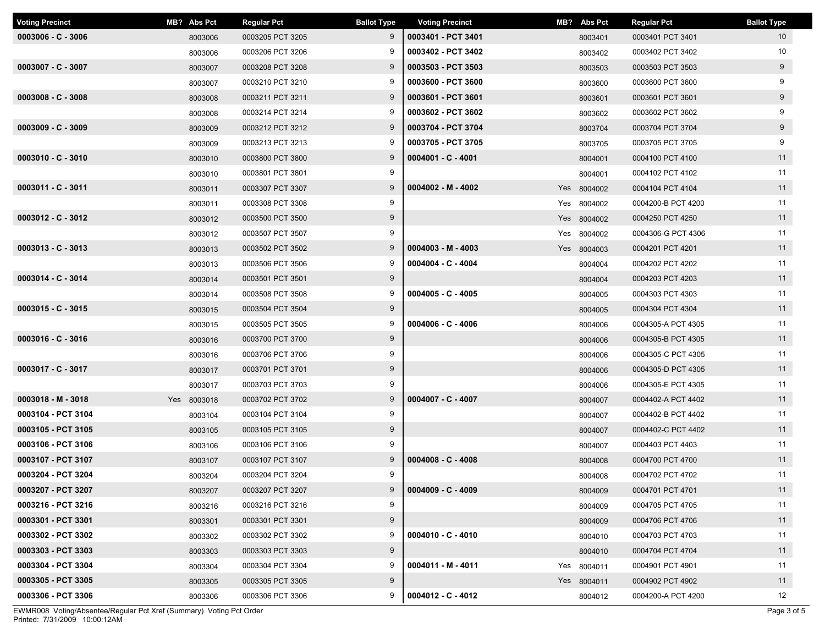| <b>Voting Precinct</b> | MB? Abs Pct | <b>Regular Pct</b> | <b>Ballot Type</b> | <b>Voting Precinct</b> | MB? Abs Pct | <b>Regular Pct</b> | <b>Ballot Type</b> |
|------------------------|-------------|--------------------|--------------------|------------------------|-------------|--------------------|--------------------|
| $0003006 - C - 3006$   | 8003006     | 0003205 PCT 3205   | 9                  | 0003401 - PCT 3401     | 8003401     | 0003401 PCT 3401   | 10 <sup>°</sup>    |
|                        | 8003006     | 0003206 PCT 3206   | 9                  | 0003402 - PCT 3402     | 8003402     | 0003402 PCT 3402   | 10                 |
| $0003007 - C - 3007$   | 8003007     | 0003208 PCT 3208   | 9                  | 0003503 - PCT 3503     | 8003503     | 0003503 PCT 3503   | 9                  |
|                        | 8003007     | 0003210 PCT 3210   | 9                  | 0003600 - PCT 3600     | 8003600     | 0003600 PCT 3600   | 9                  |
| $0003008 - C - 3008$   | 8003008     | 0003211 PCT 3211   | 9                  | 0003601 - PCT 3601     | 8003601     | 0003601 PCT 3601   | 9                  |
|                        | 8003008     | 0003214 PCT 3214   | 9                  | 0003602 - PCT 3602     | 8003602     | 0003602 PCT 3602   | 9                  |
| $0003009 - C - 3009$   | 8003009     | 0003212 PCT 3212   | 9                  | 0003704 - PCT 3704     | 8003704     | 0003704 PCT 3704   | 9                  |
|                        | 8003009     | 0003213 PCT 3213   | 9                  | 0003705 - PCT 3705     | 8003705     | 0003705 PCT 3705   | 9                  |
| $0003010 - C - 3010$   | 8003010     | 0003800 PCT 3800   | 9                  | $0004001 - C - 4001$   | 8004001     | 0004100 PCT 4100   | 11                 |
|                        | 8003010     | 0003801 PCT 3801   | 9                  |                        | 8004001     | 0004102 PCT 4102   | 11                 |
| 0003011 - C - 3011     | 8003011     | 0003307 PCT 3307   | 9                  | $0004002 - M - 4002$   | Yes 8004002 | 0004104 PCT 4104   | 11                 |
|                        | 8003011     | 0003308 PCT 3308   | 9                  |                        | Yes 8004002 | 0004200-B PCT 4200 | 11                 |
| $0003012 - C - 3012$   | 8003012     | 0003500 PCT 3500   | 9                  |                        | Yes 8004002 | 0004250 PCT 4250   | 11                 |
|                        | 8003012     | 0003507 PCT 3507   | 9                  |                        | Yes 8004002 | 0004306-G PCT 4306 | 11                 |
| $0003013 - C - 3013$   | 8003013     | 0003502 PCT 3502   | 9                  | $0004003 - M - 4003$   | Yes 8004003 | 0004201 PCT 4201   | 11                 |
|                        | 8003013     | 0003506 PCT 3506   | 9                  | $0004004 - C - 4004$   | 8004004     | 0004202 PCT 4202   | 11                 |
| 0003014 - C - 3014     | 8003014     | 0003501 PCT 3501   | 9                  |                        | 8004004     | 0004203 PCT 4203   | 11                 |
|                        | 8003014     | 0003508 PCT 3508   | 9                  | $0004005 - C - 4005$   | 8004005     | 0004303 PCT 4303   | 11                 |
| $0003015 - C - 3015$   | 8003015     | 0003504 PCT 3504   | 9                  |                        | 8004005     | 0004304 PCT 4304   | 11                 |
|                        | 8003015     | 0003505 PCT 3505   | 9                  | $0004006 - C - 4006$   | 8004006     | 0004305-A PCT 4305 | 11                 |
| $0003016 - C - 3016$   | 8003016     | 0003700 PCT 3700   | 9                  |                        | 8004006     | 0004305-B PCT 4305 | 11                 |
|                        | 8003016     | 0003706 PCT 3706   | 9                  |                        | 8004006     | 0004305-C PCT 4305 | 11                 |
| $0003017 - C - 3017$   | 8003017     | 0003701 PCT 3701   | 9                  |                        | 8004006     | 0004305-D PCT 4305 | 11                 |
|                        | 8003017     | 0003703 PCT 3703   | 9                  |                        | 8004006     | 0004305-E PCT 4305 | 11                 |
| $0003018 - M - 3018$   | Yes 8003018 | 0003702 PCT 3702   | 9                  | $0004007 - C - 4007$   | 8004007     | 0004402-A PCT 4402 | 11                 |
| 0003104 - PCT 3104     | 8003104     | 0003104 PCT 3104   | 9                  |                        | 8004007     | 0004402-B PCT 4402 | 11                 |
| 0003105 - PCT 3105     | 8003105     | 0003105 PCT 3105   | 9                  |                        | 8004007     | 0004402-C PCT 4402 | 11                 |
| 0003106 - PCT 3106     | 8003106     | 0003106 PCT 3106   | 9                  |                        | 8004007     | 0004403 PCT 4403   | 11                 |
| 0003107 - PCT 3107     | 8003107     | 0003107 PCT 3107   | 9                  | $0004008 - C - 4008$   | 8004008     | 0004700 PCT 4700   | 11                 |
| 0003204 - PCT 3204     | 8003204     | 0003204 PCT 3204   | 9                  |                        | 8004008     | 0004702 PCT 4702   | 11                 |
| 0003207 - PCT 3207     | 8003207     | 0003207 PCT 3207   | 9                  | $0004009 - C - 4009$   | 8004009     | 0004701 PCT 4701   | 11                 |
| 0003216 - PCT 3216     | 8003216     | 0003216 PCT 3216   | 9                  |                        | 8004009     | 0004705 PCT 4705   | 11                 |
| 0003301 - PCT 3301     | 8003301     | 0003301 PCT 3301   | 9                  |                        | 8004009     | 0004706 PCT 4706   | 11                 |
| 0003302 - PCT 3302     | 8003302     | 0003302 PCT 3302   | 9                  | $0004010 - C - 4010$   | 8004010     | 0004703 PCT 4703   | 11                 |
| 0003303 - PCT 3303     | 8003303     | 0003303 PCT 3303   | 9                  |                        | 8004010     | 0004704 PCT 4704   | 11                 |
| 0003304 - PCT 3304     | 8003304     | 0003304 PCT 3304   | 9                  | $0004011 - M - 4011$   | Yes 8004011 | 0004901 PCT 4901   | 11                 |
| 0003305 - PCT 3305     | 8003305     | 0003305 PCT 3305   | 9                  |                        | Yes 8004011 | 0004902 PCT 4902   | 11                 |
| 0003306 - PCT 3306     | 8003306     | 0003306 PCT 3306   | 9                  | $0004012 - C - 4012$   | 8004012     | 0004200-A PCT 4200 | 12                 |

Printed: 7/31/2009 10:00:12AM EWMR008 Voting/Absentee/Regular Pct Xref (Summary) Voting Pct Order Page 3 of 5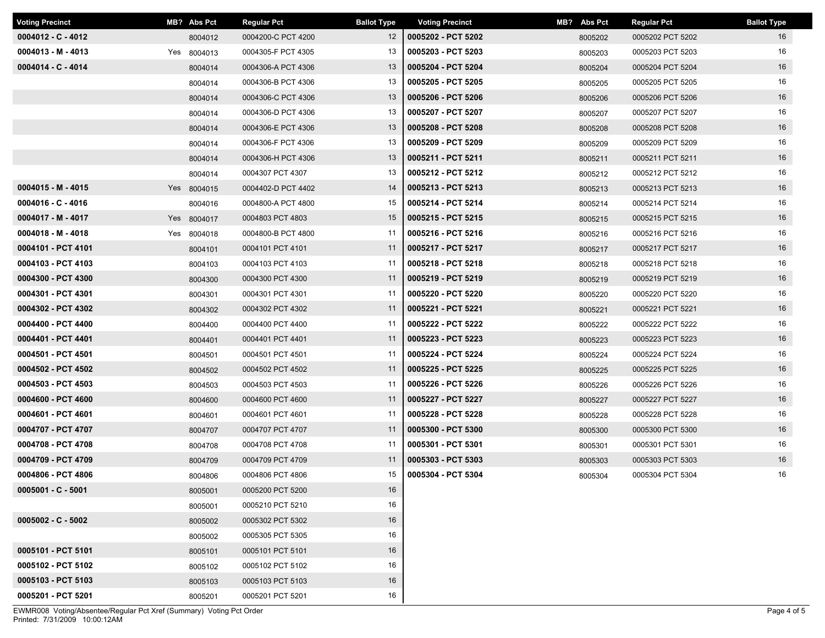| <b>Voting Precinct</b> | MB? Abs Pct | <b>Regular Pct</b> | <b>Ballot Type</b> | <b>Voting Precinct</b> | MB? Abs Pct | <b>Regular Pct</b> | <b>Ballot Type</b> |
|------------------------|-------------|--------------------|--------------------|------------------------|-------------|--------------------|--------------------|
| $0004012 - C - 4012$   | 8004012     | 0004200-C PCT 4200 | $12 \overline{ }$  | 0005202 - PCT 5202     | 8005202     | 0005202 PCT 5202   | 16                 |
| $0004013 - M - 4013$   | Yes 8004013 | 0004305-F PCT 4305 | 13                 | 0005203 - PCT 5203     | 8005203     | 0005203 PCT 5203   | 16                 |
| 0004014 - C - 4014     | 8004014     | 0004306-A PCT 4306 | 13                 | 0005204 - PCT 5204     | 8005204     | 0005204 PCT 5204   | 16                 |
|                        | 8004014     | 0004306-B PCT 4306 | 13                 | 0005205 - PCT 5205     | 8005205     | 0005205 PCT 5205   | 16                 |
|                        | 8004014     | 0004306-C PCT 4306 | 13                 | 0005206 - PCT 5206     | 8005206     | 0005206 PCT 5206   | 16                 |
|                        | 8004014     | 0004306-D PCT 4306 | 13                 | 0005207 - PCT 5207     | 8005207     | 0005207 PCT 5207   | 16                 |
|                        | 8004014     | 0004306-E PCT 4306 | 13                 | 0005208 - PCT 5208     | 8005208     | 0005208 PCT 5208   | 16                 |
|                        | 8004014     | 0004306-F PCT 4306 | 13                 | 0005209 - PCT 5209     | 8005209     | 0005209 PCT 5209   | 16                 |
|                        | 8004014     | 0004306-H PCT 4306 | 13                 | 0005211 - PCT 5211     | 8005211     | 0005211 PCT 5211   | 16                 |
|                        | 8004014     | 0004307 PCT 4307   | 13                 | 0005212 - PCT 5212     | 8005212     | 0005212 PCT 5212   | 16                 |
| $0004015 - M - 4015$   | Yes 8004015 | 0004402-D PCT 4402 | 14                 | 0005213 - PCT 5213     | 8005213     | 0005213 PCT 5213   | 16                 |
| $0004016 - C - 4016$   | 8004016     | 0004800-A PCT 4800 | 15                 | 0005214 - PCT 5214     | 8005214     | 0005214 PCT 5214   | 16                 |
| $0004017 - M - 4017$   | Yes 8004017 | 0004803 PCT 4803   | 15                 | 0005215 - PCT 5215     | 8005215     | 0005215 PCT 5215   | 16                 |
| $0004018 - M - 4018$   | Yes 8004018 | 0004800-B PCT 4800 | 11                 | 0005216 - PCT 5216     | 8005216     | 0005216 PCT 5216   | 16                 |
| 0004101 - PCT 4101     | 8004101     | 0004101 PCT 4101   | 11                 | 0005217 - PCT 5217     | 8005217     | 0005217 PCT 5217   | 16                 |
| 0004103 - PCT 4103     | 8004103     | 0004103 PCT 4103   | 11                 | 0005218 - PCT 5218     | 8005218     | 0005218 PCT 5218   | 16                 |
| 0004300 - PCT 4300     | 8004300     | 0004300 PCT 4300   | 11                 | 0005219 - PCT 5219     | 8005219     | 0005219 PCT 5219   | 16                 |
| 0004301 - PCT 4301     | 8004301     | 0004301 PCT 4301   | 11                 | 0005220 - PCT 5220     | 8005220     | 0005220 PCT 5220   | 16                 |
| 0004302 - PCT 4302     | 8004302     | 0004302 PCT 4302   | 11                 | 0005221 - PCT 5221     | 8005221     | 0005221 PCT 5221   | 16                 |
| 0004400 - PCT 4400     | 8004400     | 0004400 PCT 4400   | 11                 | 0005222 - PCT 5222     | 8005222     | 0005222 PCT 5222   | 16                 |
| 0004401 - PCT 4401     | 8004401     | 0004401 PCT 4401   | 11                 | 0005223 - PCT 5223     | 8005223     | 0005223 PCT 5223   | 16                 |
| 0004501 - PCT 4501     | 8004501     | 0004501 PCT 4501   | 11                 | 0005224 - PCT 5224     | 8005224     | 0005224 PCT 5224   | 16                 |
| 0004502 - PCT 4502     | 8004502     | 0004502 PCT 4502   | 11                 | 0005225 - PCT 5225     | 8005225     | 0005225 PCT 5225   | 16                 |
| 0004503 - PCT 4503     | 8004503     | 0004503 PCT 4503   | 11                 | 0005226 - PCT 5226     | 8005226     | 0005226 PCT 5226   | 16                 |
| 0004600 - PCT 4600     | 8004600     | 0004600 PCT 4600   | 11                 | 0005227 - PCT 5227     | 8005227     | 0005227 PCT 5227   | 16                 |
| 0004601 - PCT 4601     | 8004601     | 0004601 PCT 4601   | 11                 | 0005228 - PCT 5228     | 8005228     | 0005228 PCT 5228   | 16                 |
| 0004707 - PCT 4707     | 8004707     | 0004707 PCT 4707   | 11                 | 0005300 - PCT 5300     | 8005300     | 0005300 PCT 5300   | 16                 |
| 0004708 - PCT 4708     | 8004708     | 0004708 PCT 4708   | 11                 | 0005301 - PCT 5301     | 8005301     | 0005301 PCT 5301   | 16                 |
| 0004709 - PCT 4709     | 8004709     | 0004709 PCT 4709   | 11                 | 0005303 - PCT 5303     | 8005303     | 0005303 PCT 5303   | 16                 |
| 0004806 - PCT 4806     | 8004806     | 0004806 PCT 4806   | 15                 | 0005304 - PCT 5304     | 8005304     | 0005304 PCT 5304   | 16                 |
| $0005001 - C - 5001$   | 8005001     | 0005200 PCT 5200   | 16                 |                        |             |                    |                    |
|                        | 8005001     | 0005210 PCT 5210   | 16                 |                        |             |                    |                    |
| $0005002 - C - 5002$   | 8005002     | 0005302 PCT 5302   | 16                 |                        |             |                    |                    |
|                        | 8005002     | 0005305 PCT 5305   | 16                 |                        |             |                    |                    |
| 0005101 - PCT 5101     | 8005101     | 0005101 PCT 5101   | 16                 |                        |             |                    |                    |
| 0005102 - PCT 5102     | 8005102     | 0005102 PCT 5102   | 16                 |                        |             |                    |                    |
| 0005103 - PCT 5103     | 8005103     | 0005103 PCT 5103   | 16                 |                        |             |                    |                    |
| 0005201 - PCT 5201     | 8005201     | 0005201 PCT 5201   | 16                 |                        |             |                    |                    |

Printed: 7/31/2009 10:00:12AM EWMR008 Voting/Absentee/Regular Pct Xref (Summary) Voting Pct Order Page 4 of 5